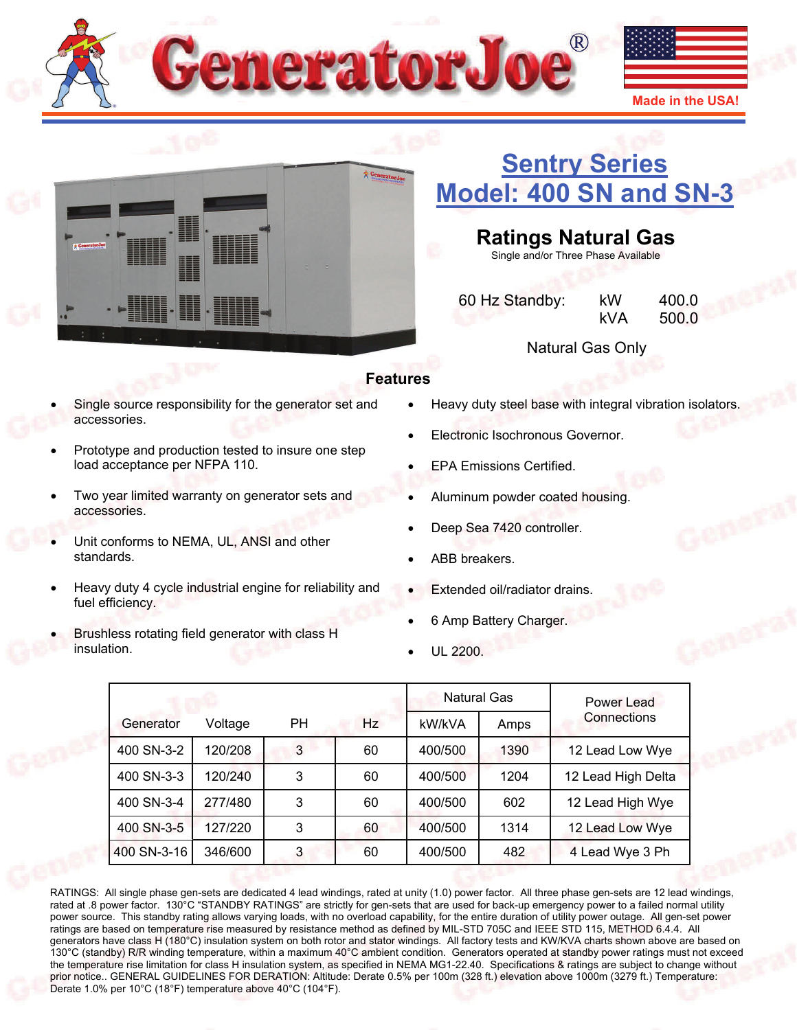



# **[Sentry Series](http://www.generatorjoe.net/product.asp?0=0&1=0&3=4374)  [Model: 400 SN and SN-3](http://www.generatorjoe.net/product.asp?0=0&1=0&3=4374)**

## **Ratings Natural Gas**

Single and/or Three Phase Available

 60 Hz Standby: kW 400.0 kVA 500.0

Natural Gas Only

#### **Features**

- Single source responsibility for the generator set and accessories.
- Prototype and production tested to insure one step load acceptance per NFPA 110.
- Two year limited warranty on generator sets and accessories.
- Unit conforms to NEMA, UL, ANSI and other standards.
- Heavy duty 4 cycle industrial engine for reliability and fuel efficiency.
- Brushless rotating field generator with class H insulation.
- Heavy duty steel base with integral vibration isolators.
- Electronic Isochronous Governor.
- EPA Emissions Certified.
- Aluminum powder coated housing.
- Deep Sea 7420 controller.
- ABB breakers.
- Extended oil/radiator drains.
- 6 Amp Battery Charger.
- UL 2200.

|             |         |           | <b>Natural Gas</b> |         | Power Lead |                    |
|-------------|---------|-----------|--------------------|---------|------------|--------------------|
| Generator   | Voltage | <b>PH</b> | Hz                 | kW/kVA  | Amps       | Connections        |
| 400 SN-3-2  | 120/208 | 3         | 60                 | 400/500 | 1390       | 12 Lead Low Wye    |
| 400 SN-3-3  | 120/240 | 3         | 60                 | 400/500 | 1204       | 12 Lead High Delta |
| 400 SN-3-4  | 277/480 | 3         | 60                 | 400/500 | 602        | 12 Lead High Wye   |
| 400 SN-3-5  | 127/220 | 3         | 60                 | 400/500 | 1314       | 12 Lead Low Wye    |
| 400 SN-3-16 | 346/600 | 3         | 60                 | 400/500 | 482        | 4 Lead Wye 3 Ph    |

RATINGS: All single phase gen-sets are dedicated 4 lead windings, rated at unity (1.0) power factor. All three phase gen-sets are 12 lead windings, rated at .8 power factor. 130°C "STANDBY RATINGS" are strictly for gen-sets that are used for back-up emergency power to a failed normal utility power source. This standby rating allows varying loads, with no overload capability, for the entire duration of utility power outage. All gen-set power ratings are based on temperature rise measured by resistance method as defined by MIL-STD 705C and IEEE STD 115, METHOD 6.4.4. All generators have class H (180°C) insulation system on both rotor and stator windings. All factory tests and KW/KVA charts shown above are based on 130°C (standby) R/R winding temperature, within a maximum 40°C ambient condition. Generators operated at standby power ratings must not exceed the temperature rise limitation for class H insulation system, as specified in NEMA MG1-22.40. Specifications & ratings are subject to change without prior notice.. GENERAL GUIDELINES FOR DERATION: Altitude: Derate 0.5% per 100m (328 ft.) elevation above 1000m (3279 ft.) Temperature: Derate 1.0% per 10°C (18°F) temperature above 40°C (104°F).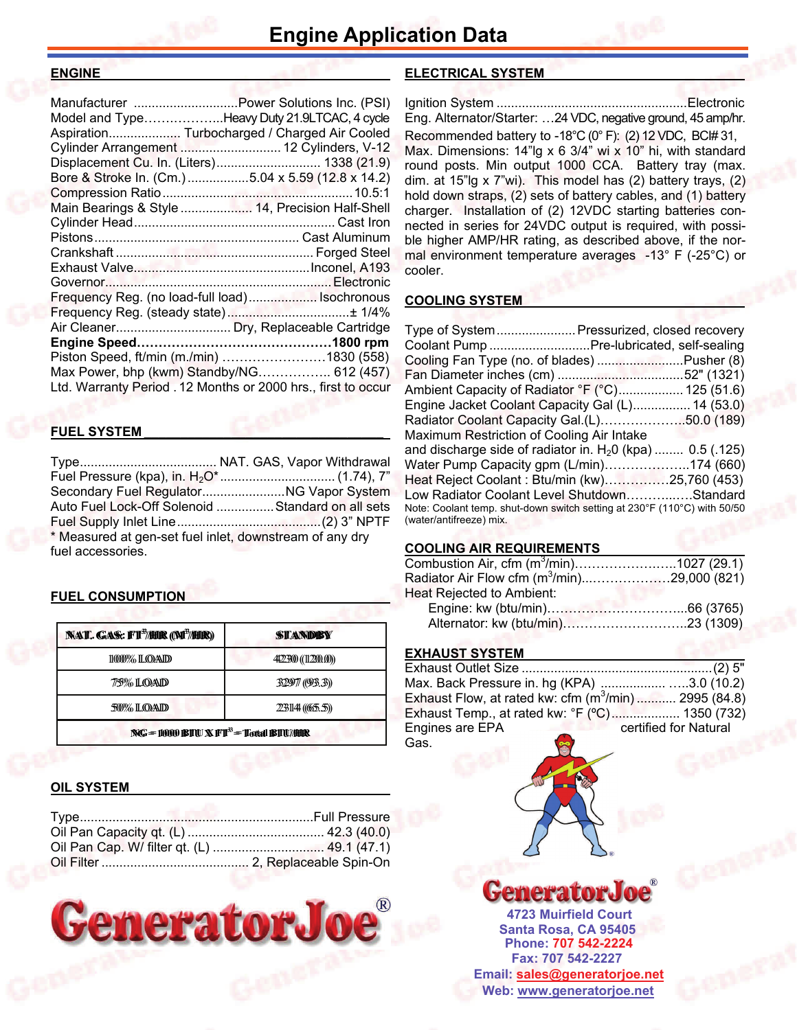#### **ENGINE\_\_\_\_\_\_\_\_\_\_\_\_\_\_\_\_\_\_\_\_\_\_\_\_\_\_\_\_\_\_\_\_\_\_\_\_\_\_\_**

| Manufacturer  Power Solutions Inc. (PSI)                      |  |
|---------------------------------------------------------------|--|
| Model and TypeHeavy Duty 21.9LTCAC, 4 cycle                   |  |
| Aspiration Turbocharged / Charged Air Cooled                  |  |
| Cylinder Arrangement  12 Cylinders, V-12                      |  |
| Displacement Cu. In. (Liters) 1338 (21.9)                     |  |
| Bore & Stroke In. (Cm.) 5.04 x 5.59 (12.8 x 14.2)             |  |
|                                                               |  |
| Main Bearings & Style  14, Precision Half-Shell               |  |
|                                                               |  |
|                                                               |  |
|                                                               |  |
|                                                               |  |
|                                                               |  |
| Frequency Reg. (no load-full load) Isochronous                |  |
|                                                               |  |
|                                                               |  |
|                                                               |  |
| Piston Speed, ft/min (m./min) 1830 (558)                      |  |
| Max Power, bhp (kwm) Standby/NG 612 (457)                     |  |
| Ltd. Warranty Period . 12 Months or 2000 hrs., first to occur |  |
|                                                               |  |

#### **FUEL SYSTEM \_\_\_\_\_\_\_\_\_\_\_\_\_\_\_\_\_\_\_\_\_\_\_\_\_\_\_\_\_\_\_\_\_**

Type ...................................... NAT. GAS, Vapor Withdrawal Fuel Pressure (kpa), in. H2O\* ................................ (1.74), 7" Secondary Fuel Regulator ....................... NG Vapor System Auto Fuel Lock-Off Solenoid ................ Standard on all sets Fuel Supply Inlet Line ........................................ (2) 3" NPTF \* Measured at gen-set fuel inlet, downstream of any dry fuel accessories.

#### **FUEL CONSUMPTION**

| <b>NAT. GAS: FT<sup>3</sup>/HIR (M<sup>3</sup>/HIR)</b> | <b>STANDBY</b>      |  |
|---------------------------------------------------------|---------------------|--|
| 1000% LOAD                                              | 4422300 ((112200.0) |  |
| 7/5% LOAD                                               | 32977 (93.3))       |  |
| 50% LOAD                                                | 23144 ((655.5))     |  |
| $NG = 10000$ BTU $X$ FT <sup>3</sup> = Total BTU/HR     |                     |  |

#### **OIL SYSTEM**



#### **ELECTRICAL SYSTEM \_\_\_\_\_\_\_\_\_\_\_\_\_\_\_\_\_\_\_\_\_\_\_\_\_\_**

Ignition System ..................................................... Electronic Eng. Alternator/Starter: …24 VDC, negative ground, 45 amp/hr. Recommended battery to -18°C (0° F): (2) 12 VDC, BC# 31, Max. Dimensions: 14"lg x 6 3/4" wi x 10" hi, with standard round posts. Min output 1000 CCA. Battery tray (max. dim. at 15"lg x 7"wi). This model has (2) battery trays, (2) hold down straps, (2) sets of battery cables, and (1) battery charger. Installation of (2) 12VDC starting batteries connected in series for 24VDC output is required, with possible higher AMP/HR rating, as described above, if the normal environment temperature averages -13° F (-25°C) or cooler.

#### **COOLING SYSTEM**

| Type of System Pressurized, closed recovery                              |  |
|--------------------------------------------------------------------------|--|
| Coolant Pump Pre-lubricated, self-sealing                                |  |
| Cooling Fan Type (no. of blades) Pusher (8)                              |  |
|                                                                          |  |
| Ambient Capacity of Radiator °F (°C) 125 (51.6)                          |  |
| Engine Jacket Coolant Capacity Gal (L) 14 (53.0)                         |  |
| Radiator Coolant Capacity Gal.(L)50.0 (189)                              |  |
| Maximum Restriction of Cooling Air Intake                                |  |
| and discharge side of radiator in. $H20$ (kpa)  0.5 (.125)               |  |
| Water Pump Capacity gpm (L/min)174 (660)                                 |  |
| Heat Reject Coolant: Btu/min (kw)25,760 (453)                            |  |
| Low Radiator Coolant Level ShutdownStandard                              |  |
| Note: Coolant temp. shut-down switch setting at 230°F (110°C) with 50/50 |  |
| (water/antifreeze) mix.                                                  |  |

#### **COOLING AIR REQUIREMENTS**

| Combustion Air, cfm $(m^3/min)$ 1027 (29.1)   |  |
|-----------------------------------------------|--|
| Radiator Air Flow cfm $(m^3/mn)$ 29,000 (821) |  |
| Heat Rejected to Ambient:                     |  |
|                                               |  |
|                                               |  |

#### **EXHAUST SYSTEM**

| Max. Back Pressure in. hg (KPA) 3.0 (10.2)            |                       |
|-------------------------------------------------------|-----------------------|
| Exhaust Flow, at rated kw: cfm $(m^3/mn)$ 2995 (84.8) |                       |
| Exhaust Temp., at rated kw: °F (°C) 1350 (732)        |                       |
| Engines are EPA                                       | certified for Natural |
| $\bullet$<br>Gas.                                     |                       |



**Santa Rosa, CA 95405 4723 Muirfield Court Fax: 707 542-2227 Phone: 707 542-2224 Web: [www.generatorjoe.net](http://www.generatorjoe.net) Email: [sales@generatorjoe.net](mailto:sales@generatorjoe.net?subject=Your%20products)**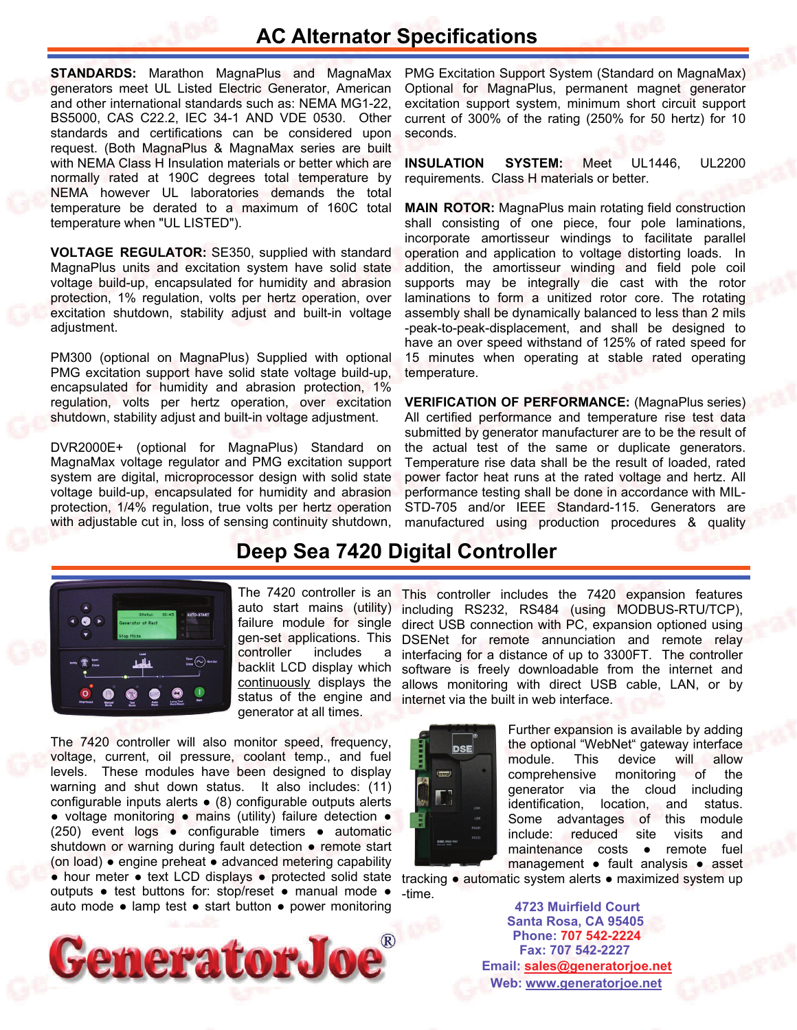### **AC Alternator Specifications**

**STANDARDS:** Marathon MagnaPlus and MagnaMax generators meet UL Listed Electric Generator, American and other international standards such as: NEMA MG1-22, BS5000, CAS C22.2, IEC 34-1 AND VDE 0530. Other standards and certifications can be considered upon request. (Both MagnaPlus & MagnaMax series are built with NEMA Class H Insulation materials or better which are normally rated at 190C degrees total temperature by NEMA however UL laboratories demands the total temperature be derated to a maximum of 160C total temperature when "UL LISTED").

**VOLTAGE REGULATOR:** SE350, supplied with standard MagnaPlus units and excitation system have solid state voltage build-up, encapsulated for humidity and abrasion protection, 1% regulation, volts per hertz operation, over excitation shutdown, stability adjust and built-in voltage adjustment.

PM300 (optional on MagnaPlus) Supplied with optional PMG excitation support have solid state voltage build-up, encapsulated for humidity and abrasion protection, 1% regulation, volts per hertz operation, over excitation shutdown, stability adjust and built-in voltage adjustment.

DVR2000E+ (optional for MagnaPlus) Standard on MagnaMax voltage regulator and PMG excitation support system are digital, microprocessor design with solid state voltage build-up, encapsulated for humidity and abrasion protection, 1/4% regulation, true volts per hertz operation with adjustable cut in, loss of sensing continuity shutdown,

PMG Excitation Support System (Standard on MagnaMax) Optional for MagnaPlus, permanent magnet generator excitation support system, minimum short circuit support current of 300% of the rating (250% for 50 hertz) for 10 seconds.

**INSULATION SYSTEM:** Meet UL1446, UL2200 requirements. Class H materials or better.

**MAIN ROTOR:** MagnaPlus main rotating field construction shall consisting of one piece, four pole laminations, incorporate amortisseur windings to facilitate parallel operation and application to voltage distorting loads. In addition, the amortisseur winding and field pole coil supports may be integrally die cast with the rotor laminations to form a unitized rotor core. The rotating assembly shall be dynamically balanced to less than 2 mils -peak-to-peak-displacement, and shall be designed to have an over speed withstand of 125% of rated speed for 15 minutes when operating at stable rated operating temperature.

**VERIFICATION OF PERFORMANCE:** (MagnaPlus series) All certified performance and temperature rise test data submitted by generator manufacturer are to be the result of the actual test of the same or duplicate generators. Temperature rise data shall be the result of loaded, rated power factor heat runs at the rated voltage and hertz. All performance testing shall be done in accordance with MIL-STD-705 and/or IEEE Standard-115. Generators are manufactured using production procedures & quality

### **Deep Sea 7420 Digital Controller**



auto start mains (utility) failure module for single gen-set applications. This controller includes a backlit LCD display which continuously displays the status of the engine and generator at all times.

The 7420 controller will also monitor speed, frequency, voltage, current, oil pressure, coolant temp., and fuel levels. These modules have been designed to display warning and shut down status. It also includes: (11) configurable inputs alerts ● (8) configurable outputs alerts ● voltage monitoring ● mains (utility) failure detection ● (250) event logs ● configurable timers ● automatic shutdown or warning during fault detection • remote start (on load) ● engine preheat ● advanced metering capability ● hour meter ● text LCD displays ● protected solid state outputs ● test buttons for: stop/reset ● manual mode ● auto mode ● lamp test ● start button ● power monitoring



The 7420 controller is an This controller includes the 7420 expansion features including RS232, RS484 (using MODBUS-RTU/TCP), direct USB connection with PC, expansion optioned using DSENet for remote annunciation and remote relay interfacing for a distance of up to 3300FT. The controller software is freely downloadable from the internet and allows monitoring with direct USB cable, LAN, or by internet via the built in web interface.



Further expansion is available by adding the optional "WebNet" gateway interface module. This device will allow comprehensive monitoring of the generator via the cloud including identification, location, and status. Some advantages of this module include: reduced site visits and maintenance costs • remote fuel management ● fault analysis ● asset

tracking ● automatic system alerts ● maximized system up -time.

> **Santa Rosa, CA 95405 4723 Muirfield Court Fax: 707 542-2227 Phone: 707 542-2224 Web: [www.generatorjoe.net](http://www.generatorjoe.net) Email: [sales@generatorjoe.net](mailto:sales@generatorjoe.net?subject=Your%20products)**